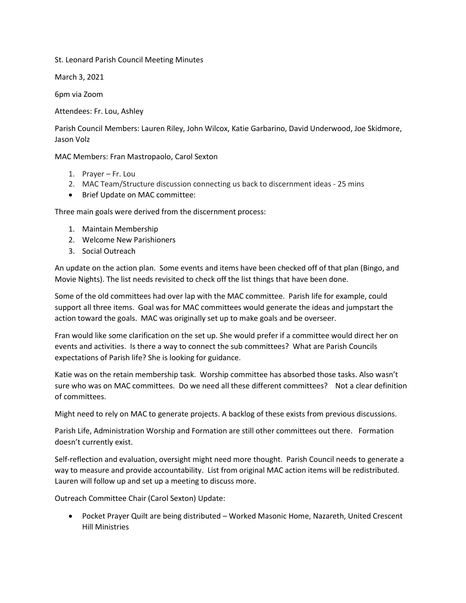St. Leonard Parish Council Meeting Minutes

March 3, 2021

6pm via Zoom

Attendees: Fr. Lou, Ashley

Parish Council Members: Lauren Riley, John Wilcox, Katie Garbarino, David Underwood, Joe Skidmore, Jason Volz

MAC Members: Fran Mastropaolo, Carol Sexton

- 1. Prayer Fr. Lou
- 2. MAC Team/Structure discussion connecting us back to discernment ideas 25 mins
- Brief Update on MAC committee:

Three main goals were derived from the discernment process:

- 1. Maintain Membership
- 2. Welcome New Parishioners
- 3. Social Outreach

An update on the action plan. Some events and items have been checked off of that plan (Bingo, and Movie Nights). The list needs revisited to check off the list things that have been done.

Some of the old committees had over lap with the MAC committee. Parish life for example, could support all three items. Goal was for MAC committees would generate the ideas and jumpstart the action toward the goals. MAC was originally set up to make goals and be overseer.

Fran would like some clarification on the set up. She would prefer if a committee would direct her on events and activities. Is there a way to connect the sub committees? What are Parish Councils expectations of Parish life? She is looking for guidance.

Katie was on the retain membership task. Worship committee has absorbed those tasks. Also wasn't sure who was on MAC committees. Do we need all these different committees? Not a clear definition of committees.

Might need to rely on MAC to generate projects. A backlog of these exists from previous discussions.

Parish Life, Administration Worship and Formation are still other committees out there. Formation doesn't currently exist.

Self-reflection and evaluation, oversight might need more thought. Parish Council needs to generate a way to measure and provide accountability. List from original MAC action items will be redistributed. Lauren will follow up and set up a meeting to discuss more.

Outreach Committee Chair (Carol Sexton) Update:

 Pocket Prayer Quilt are being distributed – Worked Masonic Home, Nazareth, United Crescent Hill Ministries